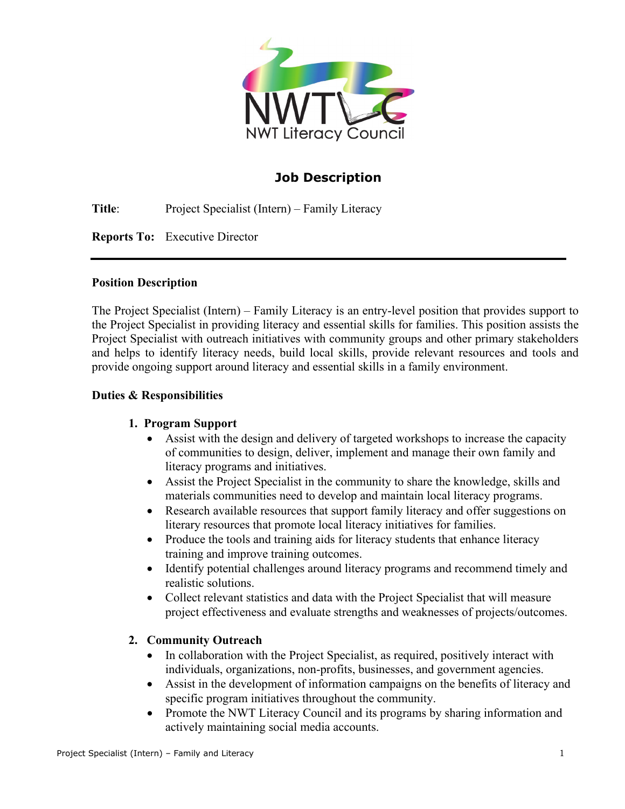

# **Job Description**

**Title**: Project Specialist (Intern) – Family Literacy

**Reports To:** Executive Director

### **Position Description**

The Project Specialist (Intern) – Family Literacy is an entry-level position that provides support to the Project Specialist in providing literacy and essential skills for families. This position assists the Project Specialist with outreach initiatives with community groups and other primary stakeholders and helps to identify literacy needs, build local skills, provide relevant resources and tools and provide ongoing support around literacy and essential skills in a family environment.

### **Duties & Responsibilities**

### **1. Program Support**

- Assist with the design and delivery of targeted workshops to increase the capacity of communities to design, deliver, implement and manage their own family and literacy programs and initiatives.
- Assist the Project Specialist in the community to share the knowledge, skills and materials communities need to develop and maintain local literacy programs.
- Research available resources that support family literacy and offer suggestions on literary resources that promote local literacy initiatives for families.
- Produce the tools and training aids for literacy students that enhance literacy training and improve training outcomes.
- Identify potential challenges around literacy programs and recommend timely and realistic solutions.
- Collect relevant statistics and data with the Project Specialist that will measure project effectiveness and evaluate strengths and weaknesses of projects/outcomes.

### **2. Community Outreach**

- In collaboration with the Project Specialist, as required, positively interact with individuals, organizations, non-profits, businesses, and government agencies.
- Assist in the development of information campaigns on the benefits of literacy and specific program initiatives throughout the community.
- Promote the NWT Literacy Council and its programs by sharing information and actively maintaining social media accounts.